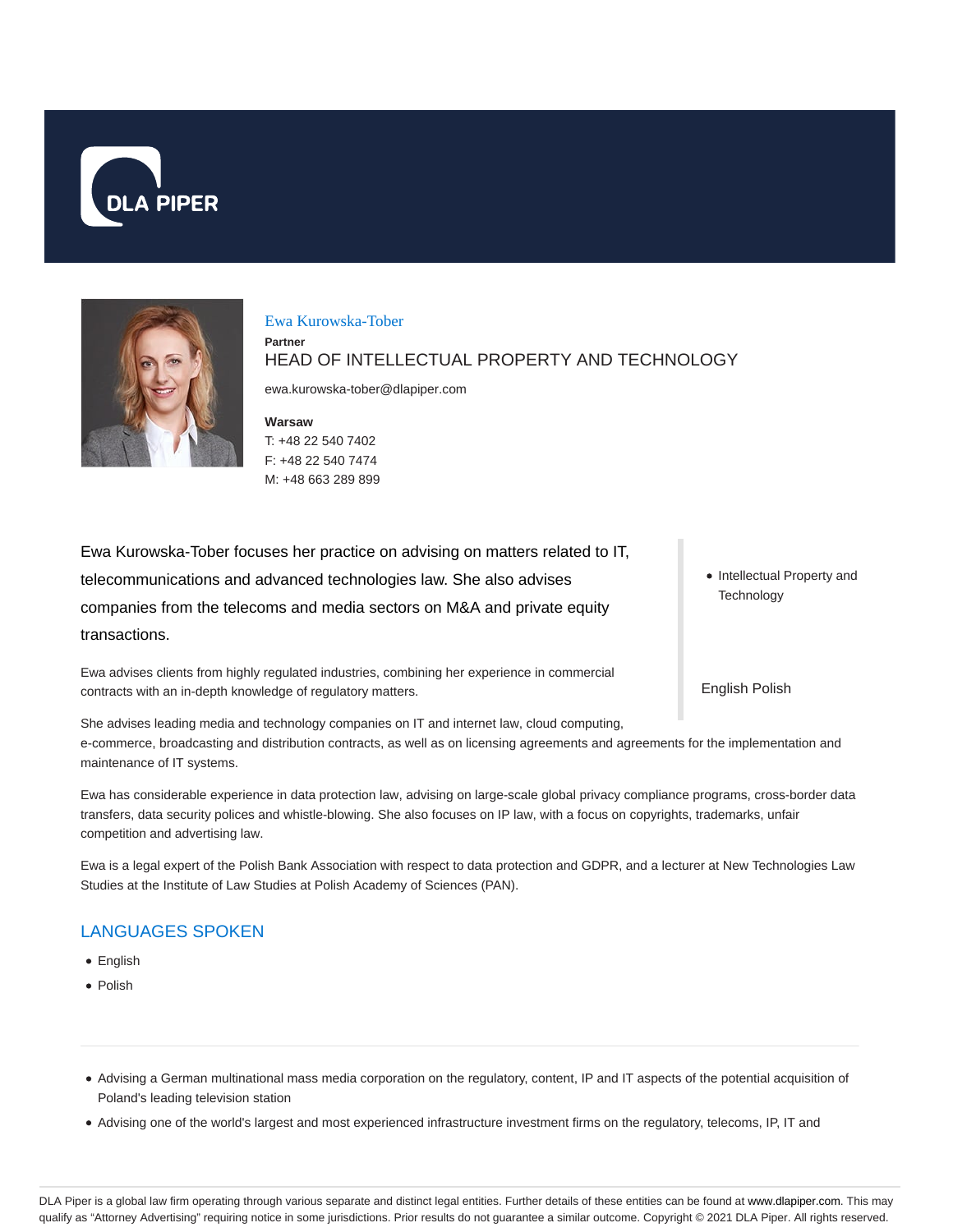



Ewa Kurowska-Tober

**Partner**

HEAD OF INTELLECTUAL PROPERTY AND TECHNOLOGY

ewa.kurowska-tober@dlapiper.com

**Warsaw** T: +48 22 540 7402 F: +48 22 540 7474 M: +48 663 289 899

Ewa Kurowska-Tober focuses her practice on advising on matters related to IT, telecommunications and advanced technologies law. She also advises companies from the telecoms and media sectors on M&A and private equity transactions.

Ewa advises clients from highly regulated industries, combining her experience in commercial contracts with an in-depth knowledge of regulatory matters.

She advises leading media and technology companies on IT and internet law, cloud computing, e-commerce, broadcasting and distribution contracts, as well as on licensing agreements and agreements for the implementation and maintenance of IT systems.

Ewa has considerable experience in data protection law, advising on large-scale global privacy compliance programs, cross-border data transfers, data security polices and whistle-blowing. She also focuses on IP law, with a focus on copyrights, trademarks, unfair competition and advertising law.

Ewa is a legal expert of the Polish Bank Association with respect to data protection and GDPR, and a lecturer at New Technologies Law Studies at the Institute of Law Studies at Polish Academy of Sciences (PAN).

# LANGUAGES SPOKEN

- English
- Polish
- Advising a German multinational mass media corporation on the regulatory, content, IP and IT aspects of the potential acquisition of Poland's leading television station
- Advising one of the world's largest and most experienced infrastructure investment firms on the regulatory, telecoms, IP, IT and

• Intellectual Property and **Technology** 

English Polish

DLA Piper is a global law firm operating through various separate and distinct legal entities. Further details of these entities can be found at www.dlapiper.com. This may qualify as "Attorney Advertising" requiring notice in some jurisdictions. Prior results do not guarantee a similar outcome. Copyright © 2021 DLA Piper. All rights reserved.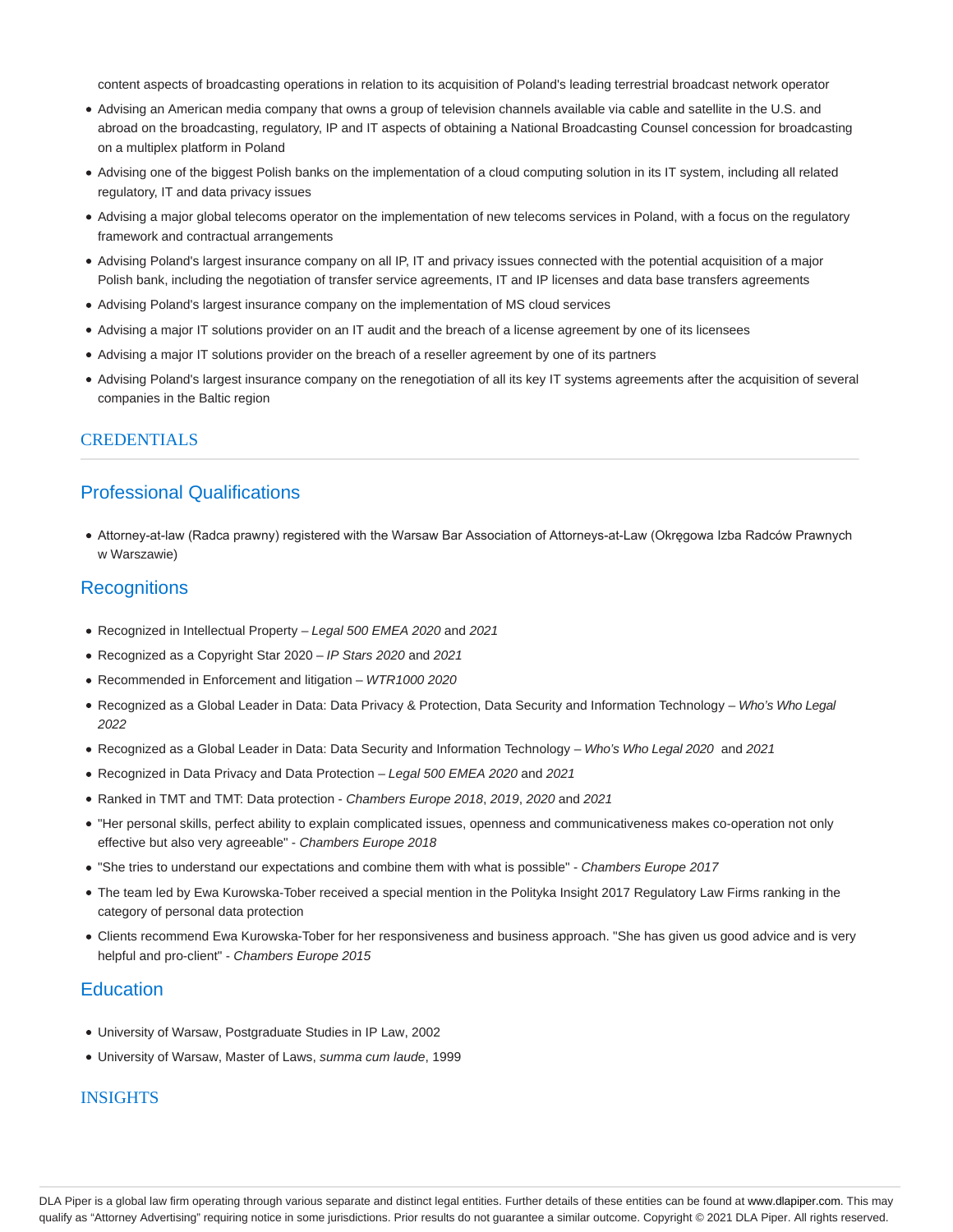content aspects of broadcasting operations in relation to its acquisition of Poland's leading terrestrial broadcast network operator

- Advising an American media company that owns a group of television channels available via cable and satellite in the U.S. and abroad on the broadcasting, regulatory, IP and IT aspects of obtaining a National Broadcasting Counsel concession for broadcasting on a multiplex platform in Poland
- Advising one of the biggest Polish banks on the implementation of a cloud computing solution in its IT system, including all related regulatory, IT and data privacy issues
- Advising a major global telecoms operator on the implementation of new telecoms services in Poland, with a focus on the regulatory framework and contractual arrangements
- Advising Poland's largest insurance company on all IP, IT and privacy issues connected with the potential acquisition of a major Polish bank, including the negotiation of transfer service agreements, IT and IP licenses and data base transfers agreements
- Advising Poland's largest insurance company on the implementation of MS cloud services
- Advising a major IT solutions provider on an IT audit and the breach of a license agreement by one of its licensees
- Advising a major IT solutions provider on the breach of a reseller agreement by one of its partners
- Advising Poland's largest insurance company on the renegotiation of all its key IT systems agreements after the acquisition of several companies in the Baltic region

#### CREDENTIALS

### Professional Qualifications

Attorney-at-law (Radca prawny) registered with the Warsaw Bar Association of Attorneys-at-Law (Okręgowa Izba Radców Prawnych w Warszawie)

#### **Recognitions**

- Recognized in Intellectual Property Legal 500 EMEA 2020 and 2021
- Recognized as a Copyright Star 2020 IP Stars 2020 and 2021
- Recommended in Enforcement and litigation WTR1000 2020
- Recognized as a Global Leader in Data: Data Privacy & Protection, Data Security and Information Technology Who's Who Legal 2022
- Recognized as a Global Leader in Data: Data Security and Information Technology Who's Who Legal 2020 and 2021
- Recognized in Data Privacy and Data Protection Legal 500 EMEA 2020 and 2021
- Ranked in TMT and TMT: Data protection Chambers Europe 2018, 2019, 2020 and 2021
- "Her personal skills, perfect ability to explain complicated issues, openness and communicativeness makes co-operation not only effective but also very agreeable" - Chambers Europe 2018
- "She tries to understand our expectations and combine them with what is possible" Chambers Europe 2017
- The team led by Ewa Kurowska-Tober received a special mention in the Polityka Insight 2017 Regulatory Law Firms ranking in the category of personal data protection
- Clients recommend Ewa Kurowska-Tober for her responsiveness and business approach. "She has given us good advice and is very helpful and pro-client" - Chambers Europe 2015

#### **Education**

- University of Warsaw, Postgraduate Studies in IP Law, 2002
- University of Warsaw, Master of Laws, summa cum laude, 1999

#### **INSIGHTS**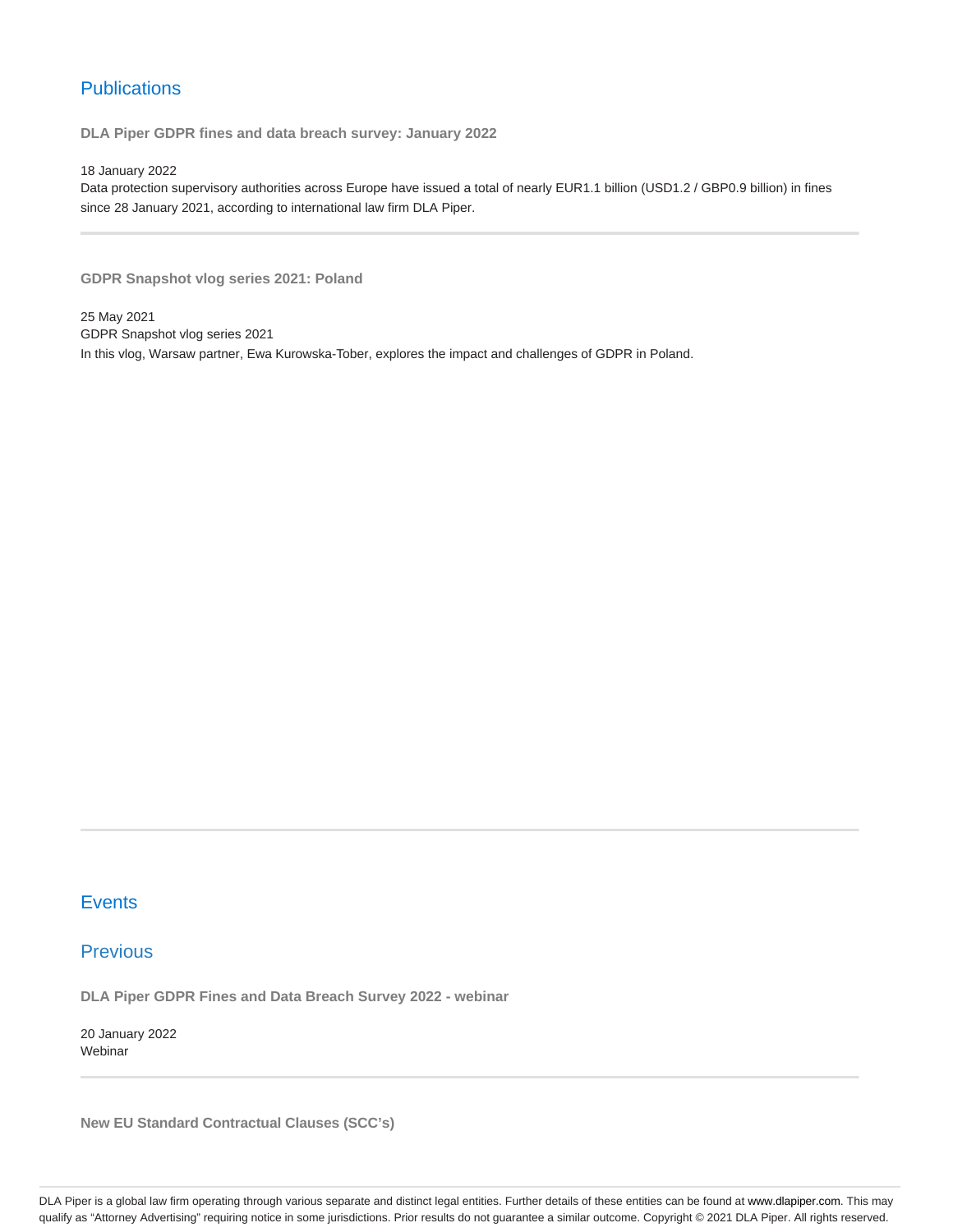# **Publications**

**DLA Piper GDPR fines and data breach survey: January 2022**

18 January 2022

Data protection supervisory authorities across Europe have issued a total of nearly EUR1.1 billion (USD1.2 / GBP0.9 billion) in fines since 28 January 2021, according to international law firm DLA Piper.

**GDPR Snapshot vlog series 2021: Poland**

25 May 2021 GDPR Snapshot vlog series 2021 In this vlog, Warsaw partner, Ewa Kurowska-Tober, explores the impact and challenges of GDPR in Poland.

### **Events**

## Previous

**DLA Piper GDPR Fines and Data Breach Survey 2022 - webinar**

20 January 2022 Webinar

**New EU Standard Contractual Clauses (SCC's)**

DLA Piper is a global law firm operating through various separate and distinct legal entities. Further details of these entities can be found at www.dlapiper.com. This may qualify as "Attorney Advertising" requiring notice in some jurisdictions. Prior results do not guarantee a similar outcome. Copyright © 2021 DLA Piper. All rights reserved.